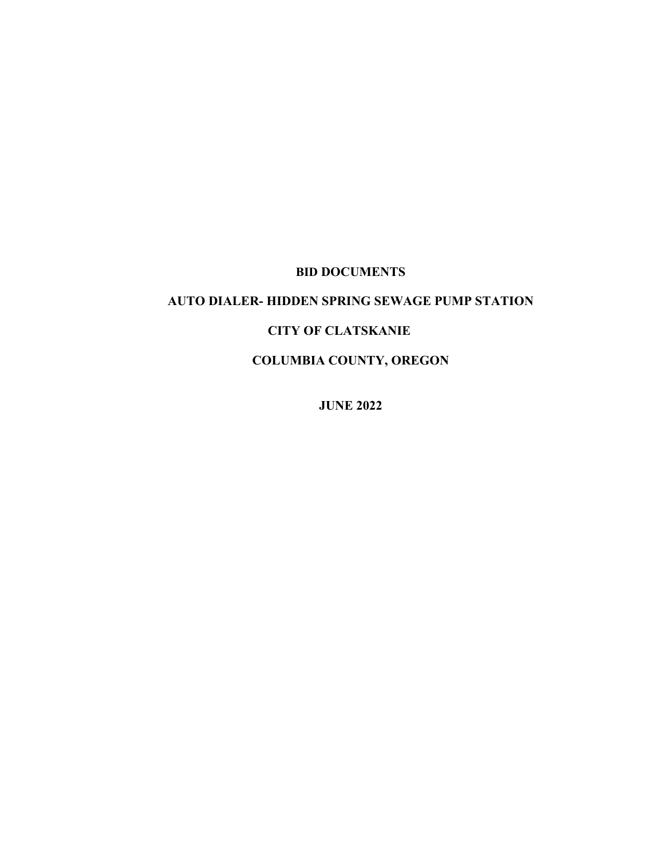# **BID DOCUMENTS**

# **AUTO DIALER- HIDDEN SPRING SEWAGE PUMP STATION**

### **CITY OF CLATSKANIE**

**COLUMBIA COUNTY, OREGON**

**JUNE 2022**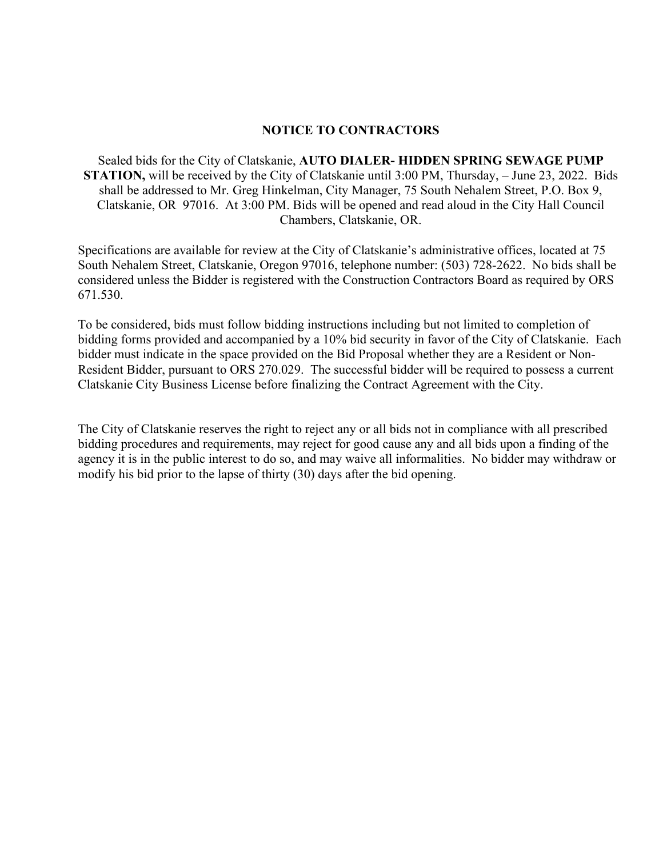#### **NOTICE TO CONTRACTORS**

Sealed bids for the City of Clatskanie, **AUTO DIALER- HIDDEN SPRING SEWAGE PUMP STATION,** will be received by the City of Clatskanie until 3:00 PM, Thursday, – June 23, 2022. Bids shall be addressed to Mr. Greg Hinkelman, City Manager, 75 South Nehalem Street, P.O. Box 9, Clatskanie, OR 97016. At 3:00 PM. Bids will be opened and read aloud in the City Hall Council Chambers, Clatskanie, OR.

Specifications are available for review at the City of Clatskanie's administrative offices, located at 75 South Nehalem Street, Clatskanie, Oregon 97016, telephone number: (503) 728-2622. No bids shall be considered unless the Bidder is registered with the Construction Contractors Board as required by ORS 671.530.

To be considered, bids must follow bidding instructions including but not limited to completion of bidding forms provided and accompanied by a 10% bid security in favor of the City of Clatskanie. Each bidder must indicate in the space provided on the Bid Proposal whether they are a Resident or Non-Resident Bidder, pursuant to ORS 270.029. The successful bidder will be required to possess a current Clatskanie City Business License before finalizing the Contract Agreement with the City.

The City of Clatskanie reserves the right to reject any or all bids not in compliance with all prescribed bidding procedures and requirements, may reject for good cause any and all bids upon a finding of the agency it is in the public interest to do so, and may waive all informalities. No bidder may withdraw or modify his bid prior to the lapse of thirty (30) days after the bid opening.